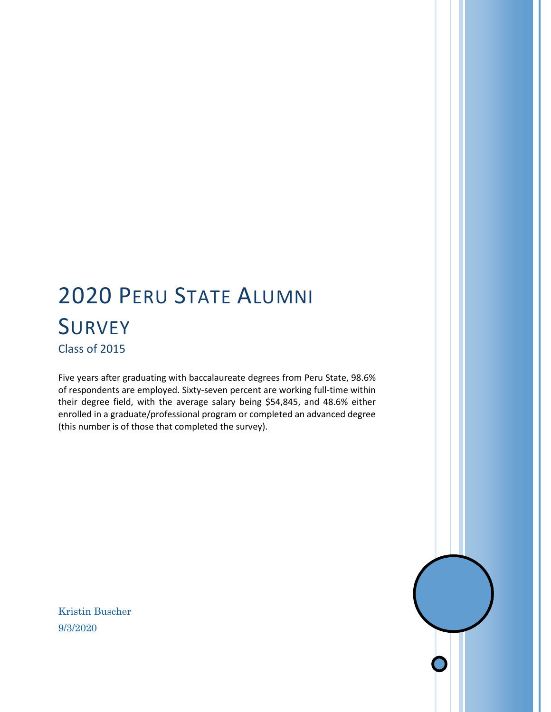# 2020 PERU STATE ALUMNI **SURVEY** Class of 2015

Five years after graduating with baccalaureate degrees from Peru State, 98.6% of respondents are employed. Sixty-seven percent are working full-time within their degree field, with the average salary being \$54,845, and 48.6% either enrolled in a graduate/professional program or completed an advanced degree (this number is of those that completed the survey).

Kristin Buscher 9/3/2020

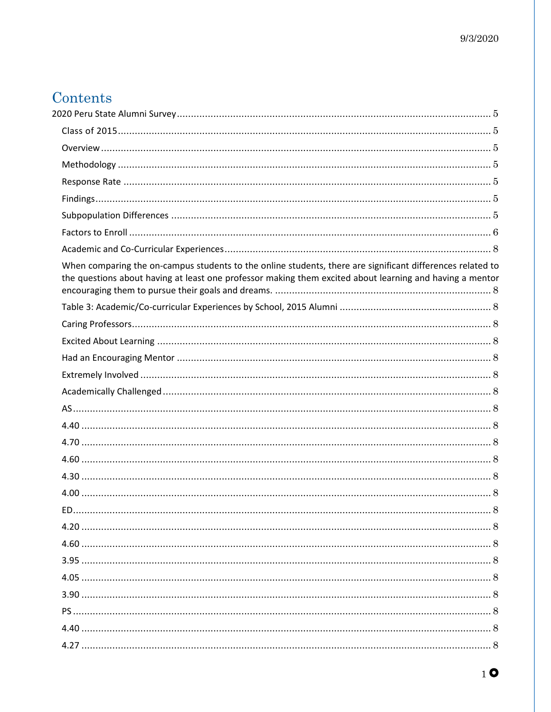# Contents

| When comparing the on-campus students to the online students, there are significant differences related to<br>the questions about having at least one professor making them excited about learning and having a mentor |    |
|------------------------------------------------------------------------------------------------------------------------------------------------------------------------------------------------------------------------|----|
|                                                                                                                                                                                                                        |    |
|                                                                                                                                                                                                                        |    |
|                                                                                                                                                                                                                        |    |
|                                                                                                                                                                                                                        |    |
|                                                                                                                                                                                                                        |    |
|                                                                                                                                                                                                                        |    |
|                                                                                                                                                                                                                        |    |
|                                                                                                                                                                                                                        |    |
|                                                                                                                                                                                                                        |    |
|                                                                                                                                                                                                                        |    |
|                                                                                                                                                                                                                        |    |
|                                                                                                                                                                                                                        |    |
| ED.                                                                                                                                                                                                                    | .8 |
|                                                                                                                                                                                                                        |    |
|                                                                                                                                                                                                                        |    |
|                                                                                                                                                                                                                        |    |
|                                                                                                                                                                                                                        |    |
|                                                                                                                                                                                                                        |    |
|                                                                                                                                                                                                                        |    |
|                                                                                                                                                                                                                        |    |
|                                                                                                                                                                                                                        |    |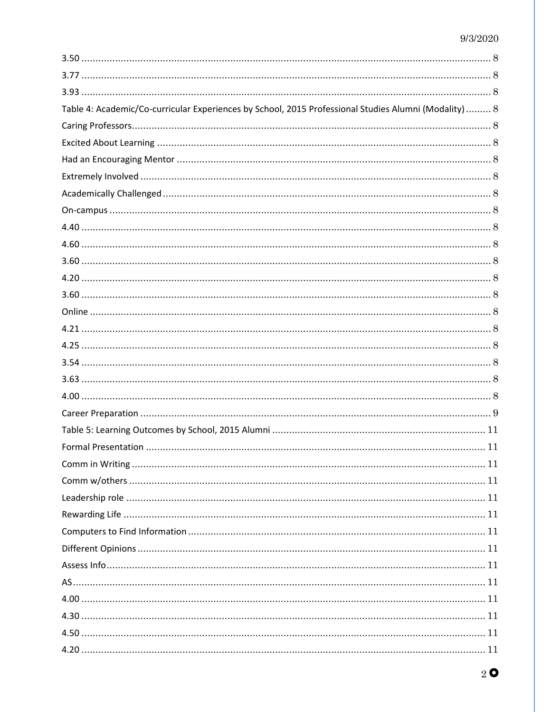| Table 4: Academic/Co-curricular Experiences by School, 2015 Professional Studies Alumni (Modality)  8 |  |
|-------------------------------------------------------------------------------------------------------|--|
|                                                                                                       |  |
|                                                                                                       |  |
|                                                                                                       |  |
|                                                                                                       |  |
|                                                                                                       |  |
|                                                                                                       |  |
|                                                                                                       |  |
|                                                                                                       |  |
|                                                                                                       |  |
|                                                                                                       |  |
|                                                                                                       |  |
|                                                                                                       |  |
|                                                                                                       |  |
|                                                                                                       |  |
|                                                                                                       |  |
|                                                                                                       |  |
|                                                                                                       |  |
|                                                                                                       |  |
|                                                                                                       |  |
|                                                                                                       |  |
|                                                                                                       |  |
|                                                                                                       |  |
|                                                                                                       |  |
|                                                                                                       |  |
|                                                                                                       |  |
|                                                                                                       |  |
|                                                                                                       |  |
|                                                                                                       |  |
|                                                                                                       |  |
|                                                                                                       |  |
|                                                                                                       |  |
|                                                                                                       |  |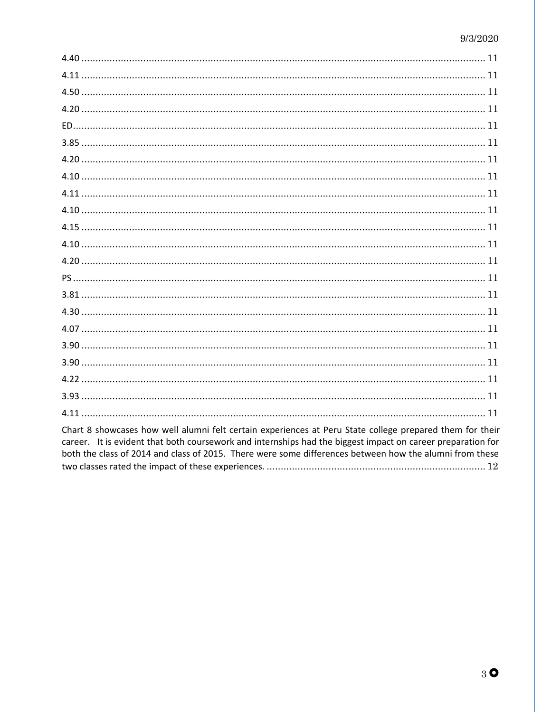| Chart 8 showcases how well alumni felt certain experiences at Peru State college prepared them for their |
|----------------------------------------------------------------------------------------------------------|

Chart 8 showcases how well alumni felt certain experiences at Peru State college prepared them for their career. It is evident that both coursework and internships had the biggest impact on career preparation for both the class of 2014 and class of 2015. There were some differences between how the alumni from these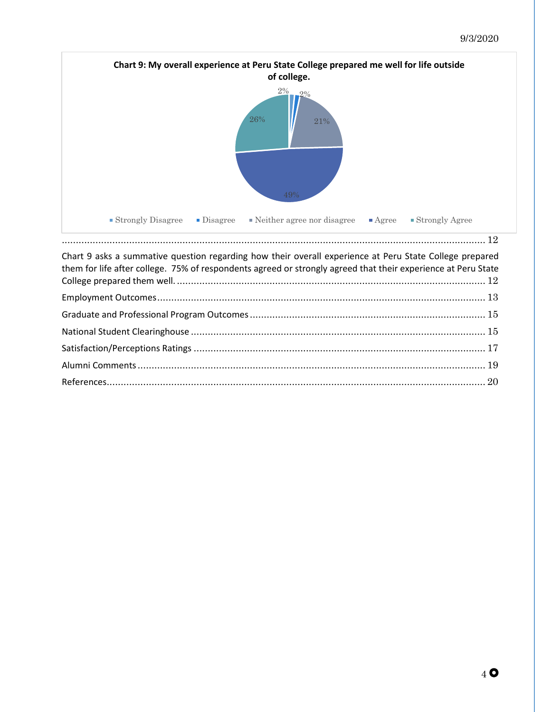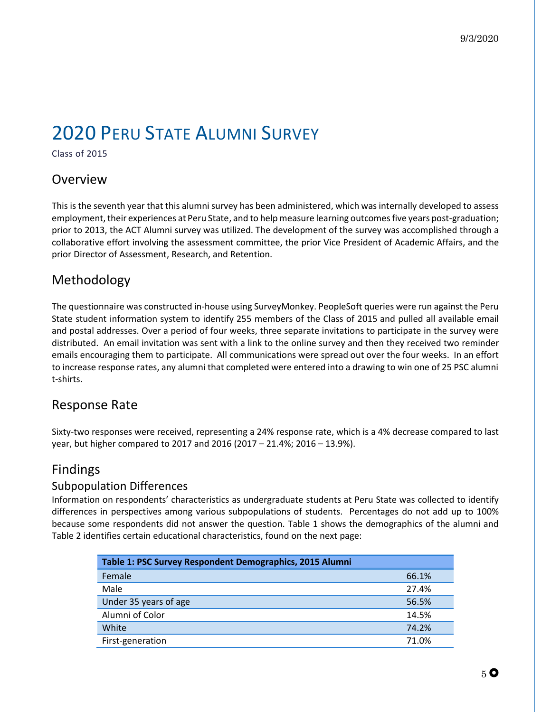# <span id="page-5-0"></span>2020 PERU STATE ALUMNI SURVEY

<span id="page-5-1"></span>Class of 2015

## <span id="page-5-2"></span>Overview

This is the seventh year that this alumni survey has been administered, which was internally developed to assess employment, their experiences at Peru State, and to help measure learning outcomes five years post-graduation; prior to 2013, the ACT Alumni survey was utilized. The development of the survey was accomplished through a collaborative effort involving the assessment committee, the prior Vice President of Academic Affairs, and the prior Director of Assessment, Research, and Retention.

# <span id="page-5-3"></span>Methodology

The questionnaire was constructed in-house using SurveyMonkey. PeopleSoft queries were run against the Peru State student information system to identify 255 members of the Class of 2015 and pulled all available email and postal addresses. Over a period of four weeks, three separate invitations to participate in the survey were distributed. An email invitation was sent with a link to the online survey and then they received two reminder emails encouraging them to participate. All communications were spread out over the four weeks. In an effort to increase response rates, any alumni that completed were entered into a drawing to win one of 25 PSC alumni t-shirts.

## <span id="page-5-4"></span>Response Rate

Sixty-two responses were received, representing a 24% response rate, which is a 4% decrease compared to last year, but higher compared to 2017 and 2016 (2017 – 21.4%; 2016 – 13.9%).

## <span id="page-5-5"></span>Findings

### <span id="page-5-6"></span>Subpopulation Differences

Information on respondents' characteristics as undergraduate students at Peru State was collected to identify differences in perspectives among various subpopulations of students. Percentages do not add up to 100% because some respondents did not answer the question. Table 1 shows the demographics of the alumni and Table 2 identifies certain educational characteristics, found on the next page:

| Table 1: PSC Survey Respondent Demographics, 2015 Alumni |       |
|----------------------------------------------------------|-------|
| Female                                                   | 66.1% |
| Male                                                     | 27.4% |
| Under 35 years of age                                    | 56.5% |
| Alumni of Color                                          | 14.5% |
| White                                                    | 74.2% |
| First-generation                                         | 71.0% |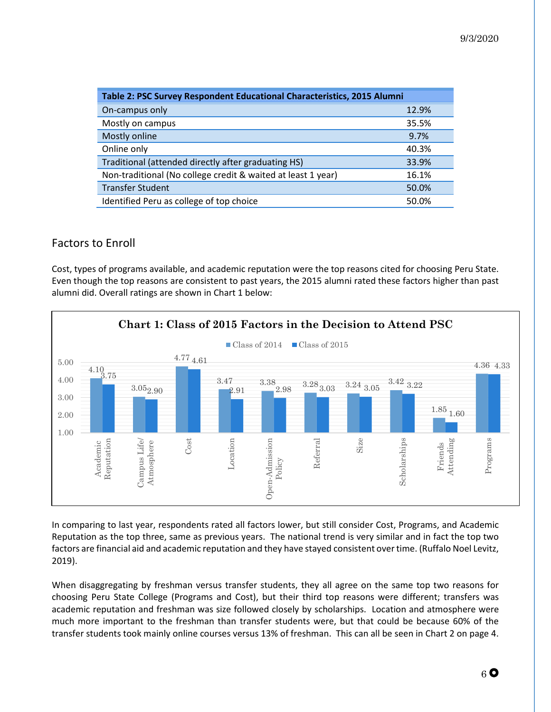| Table 2: PSC Survey Respondent Educational Characteristics, 2015 Alumni |       |  |  |
|-------------------------------------------------------------------------|-------|--|--|
| On-campus only                                                          | 12.9% |  |  |
| Mostly on campus                                                        | 35.5% |  |  |
| Mostly online                                                           | 9.7%  |  |  |
| Online only                                                             | 40.3% |  |  |
| Traditional (attended directly after graduating HS)                     | 33.9% |  |  |
| Non-traditional (No college credit & waited at least 1 year)            | 16.1% |  |  |
| <b>Transfer Student</b>                                                 | 50.0% |  |  |
| Identified Peru as college of top choice                                | 50.0% |  |  |

## <span id="page-6-0"></span>Factors to Enroll

Cost, types of programs available, and academic reputation were the top reasons cited for choosing Peru State. Even though the top reasons are consistent to past years, the 2015 alumni rated these factors higher than past alumni did. Overall ratings are shown in Chart 1 below:



In comparing to last year, respondents rated all factors lower, but still consider Cost, Programs, and Academic Reputation as the top three, same as previous years. The national trend is very similar and in fact the top two factors are financial aid and academic reputation and they have stayed consistent over time. (Ruffalo Noel Levitz, 2019).

When disaggregating by freshman versus transfer students, they all agree on the same top two reasons for choosing Peru State College (Programs and Cost), but their third top reasons were different; transfers was academic reputation and freshman was size followed closely by scholarships. Location and atmosphere were much more important to the freshman than transfer students were, but that could be because 60% of the transfer students took mainly online courses versus 13% of freshman. This can all be seen in Chart 2 on page 4.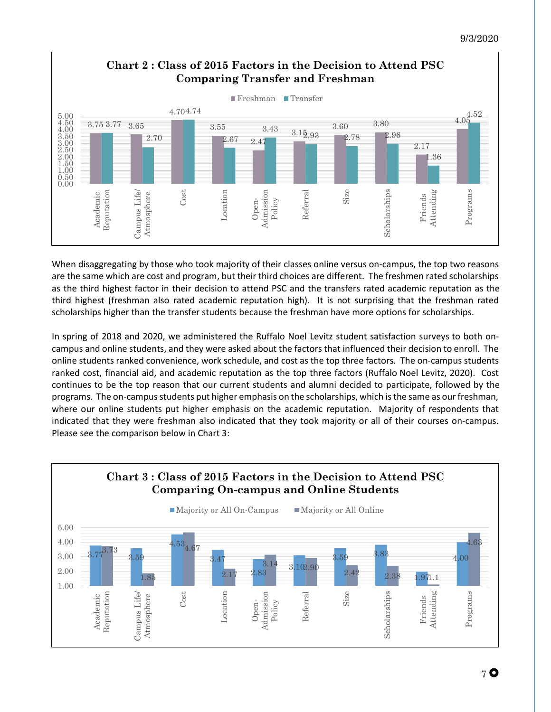

When disaggregating by those who took majority of their classes online versus on-campus, the top two reasons are the same which are cost and program, but their third choices are different. The freshmen rated scholarships as the third highest factor in their decision to attend PSC and the transfers rated academic reputation as the third highest (freshman also rated academic reputation high). It is not surprising that the freshman rated scholarships higher than the transfer students because the freshman have more options for scholarships.

In spring of 2018 and 2020, we administered the Ruffalo Noel Levitz student satisfaction surveys to both oncampus and online students, and they were asked about the factors that influenced their decision to enroll. The online students ranked convenience, work schedule, and cost as the top three factors. The on-campus students ranked cost, financial aid, and academic reputation as the top three factors (Ruffalo Noel Levitz, 2020). Cost continues to be the top reason that our current students and alumni decided to participate, followed by the programs. The on-campus students put higher emphasis on the scholarships, which is the same as our freshman, where our online students put higher emphasis on the academic reputation. Majority of respondents that indicated that they were freshman also indicated that they took majority or all of their courses on-campus. Please see the comparison below in Chart 3:

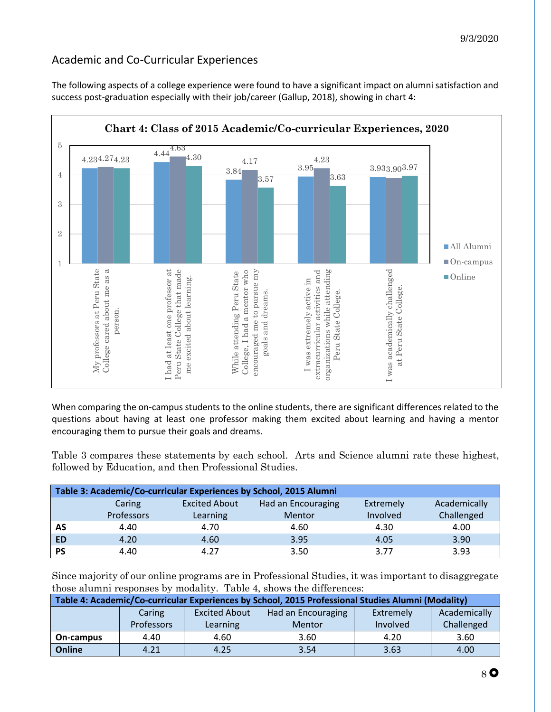## <span id="page-8-0"></span>Academic and Co-Curricular Experiences

The following aspects of a college experience were found to have a significant impact on alumni satisfaction and success post-graduation especially with their job/career (Gallup, 2018), showing in chart 4:



<span id="page-8-1"></span>When comparing the on-campus students to the online students, there are significant differences related to the questions about having at least one professor making them excited about learning and having a mentor encouraging them to pursue their goals and dreams.

Table 3 compares these statements by each school. Arts and Science alumni rate these highest, followed by Education, and then Professional Studies.

<span id="page-8-13"></span><span id="page-8-12"></span><span id="page-8-11"></span><span id="page-8-10"></span><span id="page-8-9"></span><span id="page-8-8"></span><span id="page-8-7"></span><span id="page-8-6"></span><span id="page-8-5"></span><span id="page-8-4"></span><span id="page-8-3"></span><span id="page-8-2"></span>

|           | Table 3: Academic/Co-curricular Experiences by School, 2015 Alumni |                      |                    |           |              |  |  |
|-----------|--------------------------------------------------------------------|----------------------|--------------------|-----------|--------------|--|--|
|           | Caring                                                             | <b>Excited About</b> | Had an Encouraging | Extremely | Academically |  |  |
|           | Professors                                                         | Learning             | Mentor             | Involved  | Challenged   |  |  |
| AS        | 4.40                                                               | 4.70                 | 4.60               | 4.30      | 4.00         |  |  |
| <b>ED</b> | 4.20                                                               | 4.60                 | 3.95               | 4.05      | 3.90         |  |  |
| <b>PS</b> | 4.40                                                               | 4.27                 | 3.50               | 3.77      | 3.93         |  |  |

<span id="page-8-25"></span><span id="page-8-24"></span><span id="page-8-23"></span><span id="page-8-22"></span><span id="page-8-21"></span><span id="page-8-20"></span><span id="page-8-19"></span><span id="page-8-18"></span><span id="page-8-17"></span><span id="page-8-16"></span><span id="page-8-15"></span><span id="page-8-14"></span>Since majority of our online programs are in Professional Studies, it was important to disaggregate those alumni responses by modality. Table 4, shows the differences:

<span id="page-8-43"></span><span id="page-8-42"></span><span id="page-8-41"></span><span id="page-8-40"></span><span id="page-8-39"></span><span id="page-8-38"></span><span id="page-8-37"></span><span id="page-8-36"></span><span id="page-8-35"></span><span id="page-8-34"></span><span id="page-8-33"></span><span id="page-8-32"></span><span id="page-8-31"></span><span id="page-8-30"></span><span id="page-8-29"></span><span id="page-8-28"></span><span id="page-8-27"></span><span id="page-8-26"></span>

| Table 4: Academic/Co-curricular Experiences by School, 2015 Professional Studies Alumni (Modality) |                   |                      |                    |           |              |  |
|----------------------------------------------------------------------------------------------------|-------------------|----------------------|--------------------|-----------|--------------|--|
|                                                                                                    | Caring            | <b>Excited About</b> | Had an Encouraging | Extremely | Academically |  |
|                                                                                                    | <b>Professors</b> | Learning             | <b>Mentor</b>      | Involved  | Challenged   |  |
| On-campus                                                                                          | 4.40              | 4.60                 | 3.60               | 4.20      | 3.60         |  |
| Online                                                                                             | 4.21              | 4.25                 | 3.54               | 3.63      | 4.00         |  |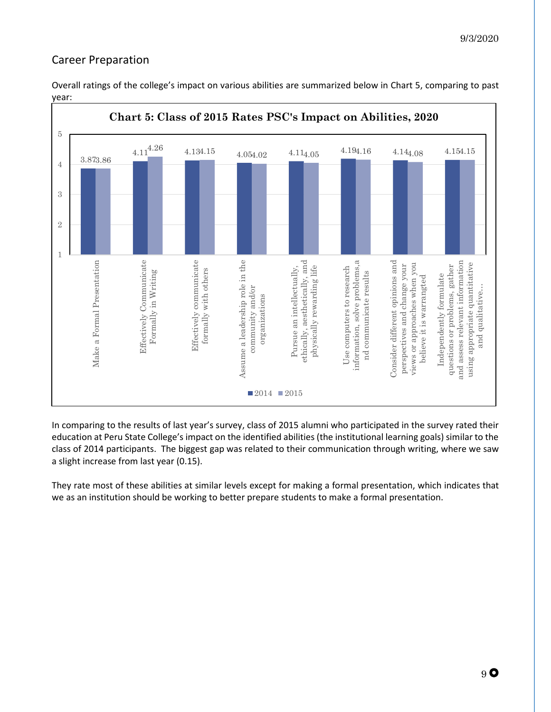## <span id="page-9-0"></span>Career Preparation



Overall ratings of the college's impact on various abilities are summarized below in Chart 5, comparing to past year:

In comparing to the results of last year's survey, class of 2015 alumni who participated in the survey rated their education at Peru State College's impact on the identified abilities (the institutional learning goals) similar to the class of 2014 participants. The biggest gap was related to their communication through writing, where we saw a slight increase from last year (0.15).

They rate most of these abilities at similar levels except for making a formal presentation, which indicates that we as an institution should be working to better prepare students to make a formal presentation.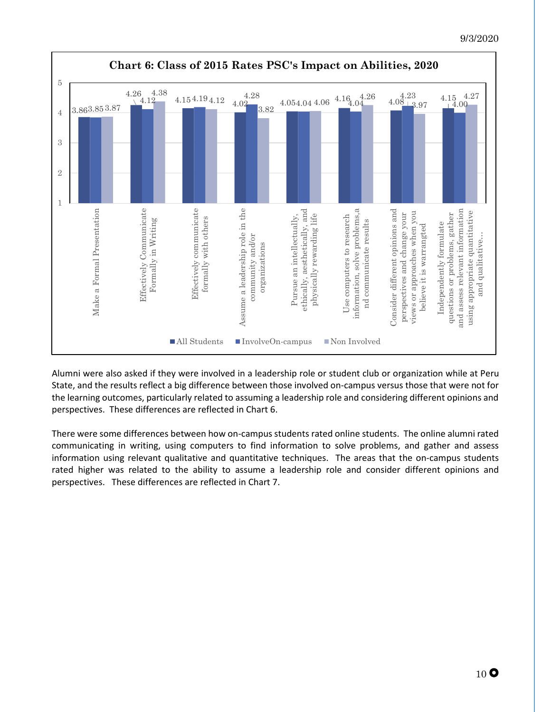

Alumni were also asked if they were involved in a leadership role or student club or organization while at Peru State, and the results reflect a big difference between those involved on-campus versus those that were not for the learning outcomes, particularly related to assuming a leadership role and considering different opinions and perspectives. These differences are reflected in Chart 6.

There were some differences between how on-campus students rated online students. The online alumni rated communicating in writing, using computers to find information to solve problems, and gather and assess information using relevant qualitative and quantitative techniques. The areas that the on-campus students rated higher was related to the ability to assume a leadership role and consider different opinions and perspectives. These differences are reflected in Chart 7.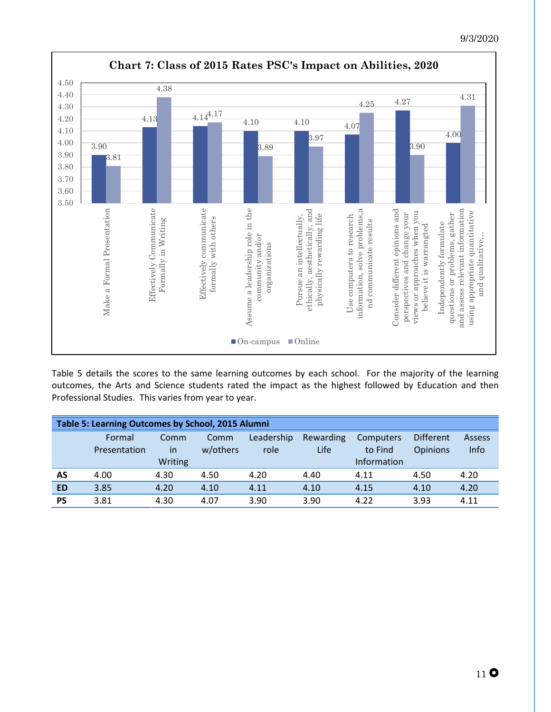

Table 5 details the scores to the same learning outcomes by each school. For the majority of the learning outcomes, the Arts and Science students rated the impact as the highest followed by Education and then Professional Studies. This varies from year to year.

<span id="page-11-35"></span><span id="page-11-34"></span><span id="page-11-33"></span><span id="page-11-32"></span><span id="page-11-31"></span><span id="page-11-30"></span><span id="page-11-29"></span><span id="page-11-28"></span><span id="page-11-27"></span><span id="page-11-26"></span><span id="page-11-25"></span><span id="page-11-24"></span><span id="page-11-23"></span><span id="page-11-22"></span><span id="page-11-21"></span><span id="page-11-20"></span><span id="page-11-19"></span><span id="page-11-18"></span><span id="page-11-17"></span><span id="page-11-16"></span><span id="page-11-15"></span><span id="page-11-14"></span><span id="page-11-13"></span><span id="page-11-12"></span><span id="page-11-11"></span><span id="page-11-10"></span><span id="page-11-9"></span><span id="page-11-8"></span><span id="page-11-7"></span><span id="page-11-6"></span><span id="page-11-5"></span><span id="page-11-4"></span><span id="page-11-3"></span><span id="page-11-2"></span><span id="page-11-1"></span><span id="page-11-0"></span>

|           | Table 5: Learning Outcomes by School, 2015 Alumni |         |          |            |             |             |                  |        |
|-----------|---------------------------------------------------|---------|----------|------------|-------------|-------------|------------------|--------|
|           | Formal                                            | Comm    | Comm     | Leadership | Rewarding   | Computers   | <b>Different</b> | Assess |
|           | Presentation                                      | in      | w/others | role       | <b>Life</b> | to Find     | <b>Opinions</b>  | Info   |
|           |                                                   | Writing |          |            |             | Information |                  |        |
| AS        | 4.00                                              | 4.30    | 4.50     | 4.20       | 4.40        | 4.11        | 4.50             | 4.20   |
| <b>ED</b> | 3.85                                              | 4.20    | 4.10     | 4.11       | 4.10        | 4.15        | 4.10             | 4.20   |
| <b>PS</b> | 3.81                                              | 4.30    | 4.07     | 3.90       | 3.90        | 4.22        | 3.93             | 4.11   |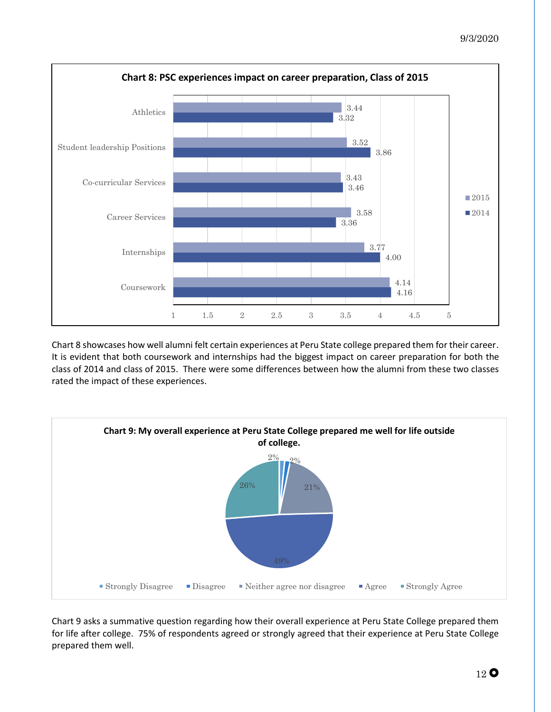

<span id="page-12-0"></span>Chart 8 showcases how well alumni felt certain experiences at Peru State college prepared them for their career. It is evident that both coursework and internships had the biggest impact on career preparation for both the class of 2014 and class of 2015. There were some differences between how the alumni from these two classes rated the impact of these experiences.

<span id="page-12-1"></span>

<span id="page-12-2"></span>Chart 9 asks a summative question regarding how their overall experience at Peru State College prepared them for life after college. 75% of respondents agreed or strongly agreed that their experience at Peru State College prepared them well.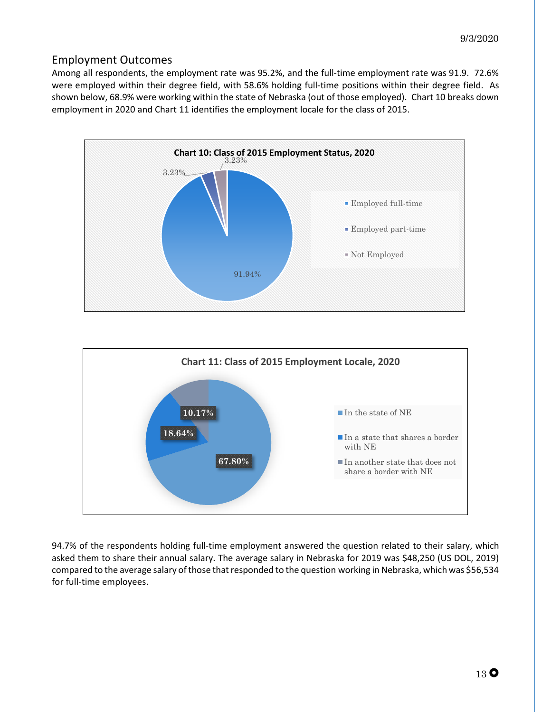## <span id="page-13-0"></span>Employment Outcomes

Among all respondents, the employment rate was 95.2%, and the full-time employment rate was 91.9. 72.6% were employed within their degree field, with 58.6% holding full-time positions within their degree field. As shown below, 68.9% were working within the state of Nebraska (out of those employed). Chart 10 breaks down employment in 2020 and Chart 11 identifies the employment locale for the class of 2015.





94.7% of the respondents holding full-time employment answered the question related to their salary, which asked them to share their annual salary. The average salary in Nebraska for 2019 was \$48,250 (US DOL, 2019) compared to the average salary of those that responded to the question working in Nebraska, which was \$56,534 for full-time employees.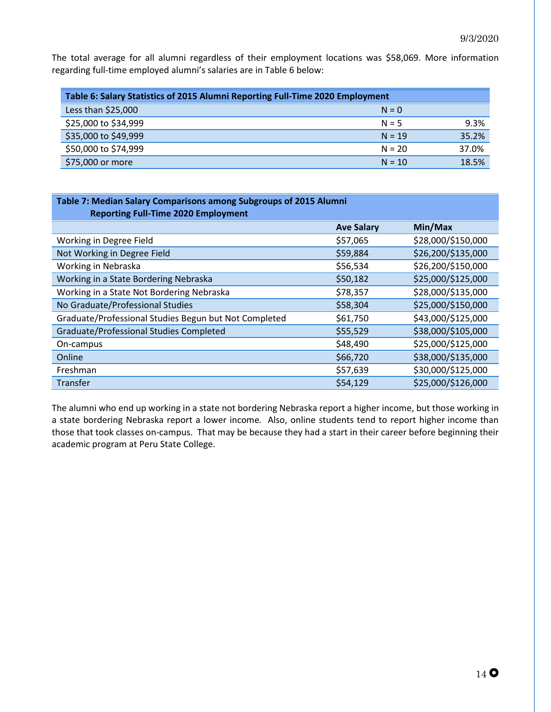The total average for all alumni regardless of their employment locations was \$58,069. More information regarding full-time employed alumni's salaries are in Table 6 below:

| Table 6: Salary Statistics of 2015 Alumni Reporting Full-Time 2020 Employment |          |       |
|-------------------------------------------------------------------------------|----------|-------|
| Less than \$25,000                                                            | $N = 0$  |       |
| \$25,000 to \$34,999                                                          | $N = 5$  | 9.3%  |
| \$35,000 to \$49,999                                                          | $N = 19$ | 35.2% |
| \$50,000 to \$74,999                                                          | $N = 20$ | 37.0% |
| \$75,000 or more                                                              | $N = 10$ | 18.5% |

| Table 7: Median Salary Comparisons among Subgroups of 2015 Alumni<br><b>Reporting Full-Time 2020 Employment</b> |                   |                    |  |  |
|-----------------------------------------------------------------------------------------------------------------|-------------------|--------------------|--|--|
|                                                                                                                 | <b>Ave Salary</b> | Min/Max            |  |  |
| Working in Degree Field                                                                                         | \$57,065          | \$28,000/\$150,000 |  |  |
| Not Working in Degree Field                                                                                     | \$59,884          | \$26,200/\$135,000 |  |  |
| Working in Nebraska                                                                                             | \$56,534          | \$26,200/\$150,000 |  |  |
| Working in a State Bordering Nebraska                                                                           | \$50,182          | \$25,000/\$125,000 |  |  |
| Working in a State Not Bordering Nebraska                                                                       | \$78,357          | \$28,000/\$135,000 |  |  |
| No Graduate/Professional Studies                                                                                | \$58,304          | \$25,000/\$150,000 |  |  |
| Graduate/Professional Studies Begun but Not Completed                                                           | \$61,750          | \$43,000/\$125,000 |  |  |
| Graduate/Professional Studies Completed                                                                         | \$55,529          | \$38,000/\$105,000 |  |  |
| On-campus                                                                                                       | \$48,490          | \$25,000/\$125,000 |  |  |
| Online                                                                                                          | \$66,720          | \$38,000/\$135,000 |  |  |
| Freshman                                                                                                        | \$57,639          | \$30,000/\$125,000 |  |  |
| <b>Transfer</b>                                                                                                 | \$54,129          | \$25,000/\$126,000 |  |  |

The alumni who end up working in a state not bordering Nebraska report a higher income, but those working in a state bordering Nebraska report a lower income. Also, online students tend to report higher income than those that took classes on-campus. That may be because they had a start in their career before beginning their academic program at Peru State College.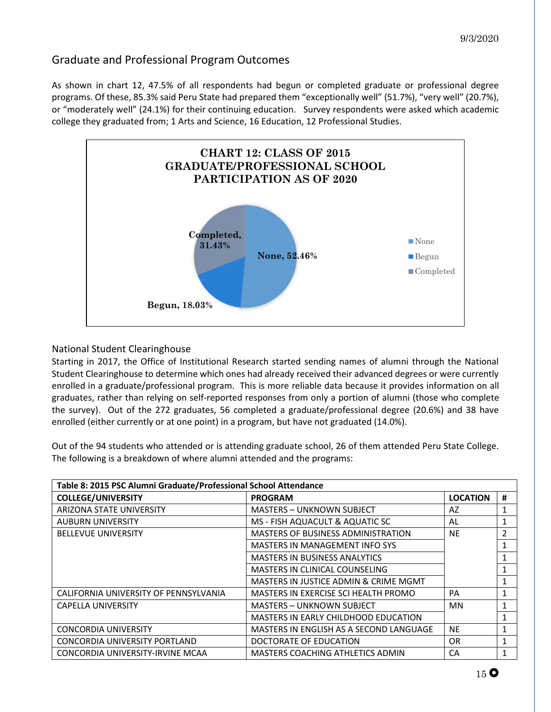## <span id="page-15-0"></span>Graduate and Professional Program Outcomes

As shown in chart 12, 47.5% of all respondents had begun or completed graduate or professional degree programs. Of these, 85.3% said Peru State had prepared them "exceptionally well" (51.7%), "very well" (20.7%), or "moderately well" (24.1%) for their continuing education. Survey respondents were asked which academic college they graduated from; 1 Arts and Science, 16 Education, 12 Professional Studies.



### <span id="page-15-1"></span>National Student Clearinghouse

Starting in 2017, the Office of Institutional Research started sending names of alumni through the National Student Clearinghouse to determine which ones had already received their advanced degrees or were currently enrolled in a graduate/professional program. This is more reliable data because it provides information on all graduates, rather than relying on self-reported responses from only a portion of alumni (those who complete the survey). Out of the 272 graduates, 56 completed a graduate/professional degree (20.6%) and 38 have enrolled (either currently or at one point) in a program, but have not graduated (14.0%).

Out of the 94 students who attended or is attending graduate school, 26 of them attended Peru State College. The following is a breakdown of where alumni attended and the programs:

| Table 8: 2015 PSC Alumni Graduate/Professional School Attendance |                                             |                 |                |  |
|------------------------------------------------------------------|---------------------------------------------|-----------------|----------------|--|
| <b>COLLEGE/UNIVERSITY</b>                                        | <b>PROGRAM</b>                              | <b>LOCATION</b> | #              |  |
| <b>ARIZONA STATE UNIVERSITY</b>                                  | <b>MASTERS - UNKNOWN SUBJECT</b>            | AZ              | 1              |  |
| <b>AUBURN UNIVERSITY</b>                                         | MS - FISH AQUACULT & AQUATIC SC             | AL              | $\mathbf{1}$   |  |
| <b>BELLEVUE UNIVERSITY</b>                                       | <b>MASTERS OF BUSINESS ADMINISTRATION</b>   | <b>NE</b>       | $\overline{2}$ |  |
|                                                                  | <b>MASTERS IN MANAGEMENT INFO SYS</b>       |                 | 1              |  |
|                                                                  | <b>MASTERS IN BUSINESS ANALYTICS</b>        |                 | 1              |  |
|                                                                  | MASTERS IN CLINICAL COUNSELING              |                 | 1              |  |
|                                                                  | MASTERS IN JUSTICE ADMIN & CRIME MGMT       |                 | 1              |  |
| CALIFORNIA UNIVERSITY OF PENNSYLVANIA                            | MASTERS IN EXERCISE SCI HEALTH PROMO        | <b>PA</b>       | 1              |  |
| <b>CAPELLA UNIVERSITY</b>                                        | <b>MASTERS - UNKNOWN SUBJECT</b>            | <b>MN</b>       | 1              |  |
|                                                                  | <b>MASTERS IN EARLY CHILDHOOD EDUCATION</b> |                 | 1              |  |
| <b>CONCORDIA UNIVERSITY</b>                                      | MASTERS IN ENGLISH AS A SECOND LANGUAGE     | <b>NE</b>       | 1              |  |
| CONCORDIA UNIVERSITY PORTLAND                                    | DOCTORATE OF EDUCATION                      | 0R              | 1              |  |
| CONCORDIA UNIVERSITY-IRVINE MCAA                                 | MASTERS COACHING ATHLETICS ADMIN            | CA              | $\mathbf{1}$   |  |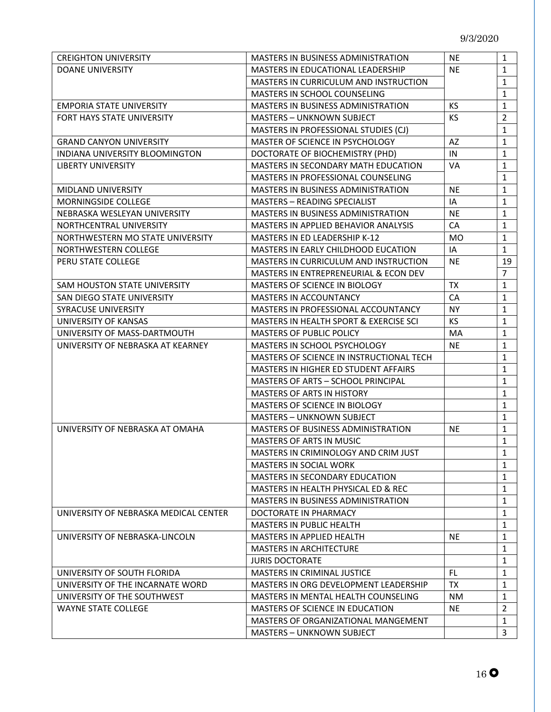| <b>CREIGHTON UNIVERSITY</b>           | <b>MASTERS IN BUSINESS ADMINISTRATION</b>  | <b>NE</b> | $\mathbf{1}$   |
|---------------------------------------|--------------------------------------------|-----------|----------------|
| <b>DOANE UNIVERSITY</b>               | MASTERS IN EDUCATIONAL LEADERSHIP          | <b>NE</b> | $\mathbf{1}$   |
|                                       | MASTERS IN CURRICULUM AND INSTRUCTION      |           | $\mathbf{1}$   |
|                                       | MASTERS IN SCHOOL COUNSELING               |           | $\mathbf{1}$   |
| <b>EMPORIA STATE UNIVERSITY</b>       | MASTERS IN BUSINESS ADMINISTRATION         | KS        | $\mathbf{1}$   |
| FORT HAYS STATE UNIVERSITY            | <b>MASTERS - UNKNOWN SUBJECT</b>           | KS.       | $\overline{2}$ |
|                                       | MASTERS IN PROFESSIONAL STUDIES (CJ)       |           | $\mathbf{1}$   |
| <b>GRAND CANYON UNIVERSITY</b>        | MASTER OF SCIENCE IN PSYCHOLOGY            | AZ        | $\mathbf{1}$   |
| INDIANA UNIVERSITY BLOOMINGTON        | DOCTORATE OF BIOCHEMISTRY (PHD)            | IN        | $\mathbf{1}$   |
| <b>LIBERTY UNIVERSITY</b>             | <b>MASTERS IN SECONDARY MATH EDUCATION</b> | VA        | $\mathbf{1}$   |
|                                       | MASTERS IN PROFESSIONAL COUNSELING         |           | $\mathbf{1}$   |
| MIDLAND UNIVERSITY                    | MASTERS IN BUSINESS ADMINISTRATION         | <b>NE</b> | $\mathbf{1}$   |
| MORNINGSIDE COLLEGE                   | <b>MASTERS - READING SPECIALIST</b>        | IA        | $\mathbf{1}$   |
| NEBRASKA WESLEYAN UNIVERSITY          | <b>MASTERS IN BUSINESS ADMINISTRATION</b>  | <b>NE</b> | $\mathbf{1}$   |
| NORTHCENTRAL UNIVERSITY               | MASTERS IN APPLIED BEHAVIOR ANALYSIS       | CA        | $\mathbf{1}$   |
| NORTHWESTERN MO STATE UNIVERSITY      | MASTERS IN ED LEADERSHIP K-12              | <b>MO</b> | $\mathbf{1}$   |
| NORTHWESTERN COLLEGE                  | MASTERS IN EARLY CHILDHOOD EUCATION        | IA        | $\mathbf{1}$   |
| PERU STATE COLLEGE                    | MASTERS IN CURRICULUM AND INSTRUCTION      | NE        | 19             |
|                                       | MASTERS IN ENTREPRENEURIAL & ECON DEV      |           | 7              |
| SAM HOUSTON STATE UNIVERSITY          | MASTERS OF SCIENCE IN BIOLOGY              | <b>TX</b> | $\mathbf{1}$   |
| SAN DIEGO STATE UNIVERSITY            | <b>MASTERS IN ACCOUNTANCY</b>              | CA        | 1              |
| SYRACUSE UNIVERSITY                   | MASTERS IN PROFESSIONAL ACCOUNTANCY        | <b>NY</b> | $\mathbf{1}$   |
| UNIVERSITY OF KANSAS                  | MASTERS IN HEALTH SPORT & EXERCISE SCI     | KS        | $\mathbf{1}$   |
| UNIVERSITY OF MASS-DARTMOUTH          | <b>MASTERS OF PUBLIC POLICY</b>            | MA        | $\mathbf{1}$   |
| UNIVERSITY OF NEBRASKA AT KEARNEY     | MASTERS IN SCHOOL PSYCHOLOGY               | <b>NE</b> | $\mathbf{1}$   |
|                                       | MASTERS OF SCIENCE IN INSTRUCTIONAL TECH   |           | $\mathbf{1}$   |
|                                       | MASTERS IN HIGHER ED STUDENT AFFAIRS       |           | 1              |
|                                       | MASTERS OF ARTS - SCHOOL PRINCIPAL         |           | 1              |
|                                       | <b>MASTERS OF ARTS IN HISTORY</b>          |           | 1              |
|                                       | MASTERS OF SCIENCE IN BIOLOGY              |           | $\mathbf{1}$   |
|                                       | <b>MASTERS - UNKNOWN SUBJECT</b>           |           | $\mathbf{1}$   |
| UNIVERSITY OF NEBRASKA AT OMAHA       | MASTERS OF BUSINESS ADMINISTRATION         | <b>NE</b> | $\mathbf{1}$   |
|                                       | <b>MASTERS OF ARTS IN MUSIC</b>            |           | $\mathbf{1}$   |
|                                       | MASTERS IN CRIMINOLOGY AND CRIM JUST       |           | $\mathbf{1}$   |
|                                       | <b>MASTERS IN SOCIAL WORK</b>              |           | 1              |
|                                       | <b>MASTERS IN SECONDARY EDUCATION</b>      |           | $\mathbf{1}$   |
|                                       | MASTERS IN HEALTH PHYSICAL ED & REC        |           | 1              |
|                                       | <b>MASTERS IN BUSINESS ADMINISTRATION</b>  |           | 1              |
| UNIVERSITY OF NEBRASKA MEDICAL CENTER | DOCTORATE IN PHARMACY                      |           | $\mathbf{1}$   |
|                                       | MASTERS IN PUBLIC HEALTH                   |           | 1              |
| UNIVERSITY OF NEBRASKA-LINCOLN        | <b>MASTERS IN APPLIED HEALTH</b>           | <b>NE</b> | 1              |
|                                       | <b>MASTERS IN ARCHITECTURE</b>             |           | 1              |
|                                       | <b>JURIS DOCTORATE</b>                     |           | $\mathbf{1}$   |
| UNIVERSITY OF SOUTH FLORIDA           | MASTERS IN CRIMINAL JUSTICE                | FL.       | $\mathbf{1}$   |
| UNIVERSITY OF THE INCARNATE WORD      | MASTERS IN ORG DEVELOPMENT LEADERSHIP      | <b>TX</b> | 1              |
| UNIVERSITY OF THE SOUTHWEST           | MASTERS IN MENTAL HEALTH COUNSELING        | NM.       | 1              |
| <b>WAYNE STATE COLLEGE</b>            | <b>MASTERS OF SCIENCE IN EDUCATION</b>     | <b>NE</b> | $\overline{2}$ |
|                                       | MASTERS OF ORGANIZATIONAL MANGEMENT        |           | $\mathbf{1}$   |
|                                       | <b>MASTERS - UNKNOWN SUBJECT</b>           |           | 3              |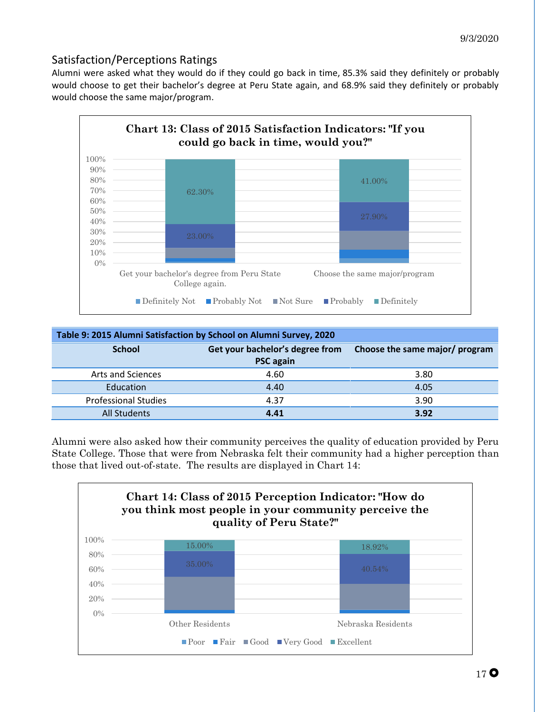## <span id="page-17-0"></span>Satisfaction/Perceptions Ratings

Alumni were asked what they would do if they could go back in time, 85.3% said they definitely or probably would choose to get their bachelor's degree at Peru State again, and 68.9% said they definitely or probably would choose the same major/program.



| Table 9: 2015 Alumni Satisfaction by School on Alumni Survey, 2020 |                                 |                                |
|--------------------------------------------------------------------|---------------------------------|--------------------------------|
| <b>School</b>                                                      | Get your bachelor's degree from | Choose the same major/ program |
|                                                                    | <b>PSC</b> again                |                                |
| Arts and Sciences                                                  | 4.60                            | 3.80                           |
| Education                                                          | 4.40                            | 4.05                           |
| <b>Professional Studies</b>                                        | 4.37                            | 3.90                           |
| <b>All Students</b>                                                | 4.41                            | 3.92                           |

Alumni were also asked how their community perceives the quality of education provided by Peru State College. Those that were from Nebraska felt their community had a higher perception than those that lived out-of-state. The results are displayed in Chart 14:

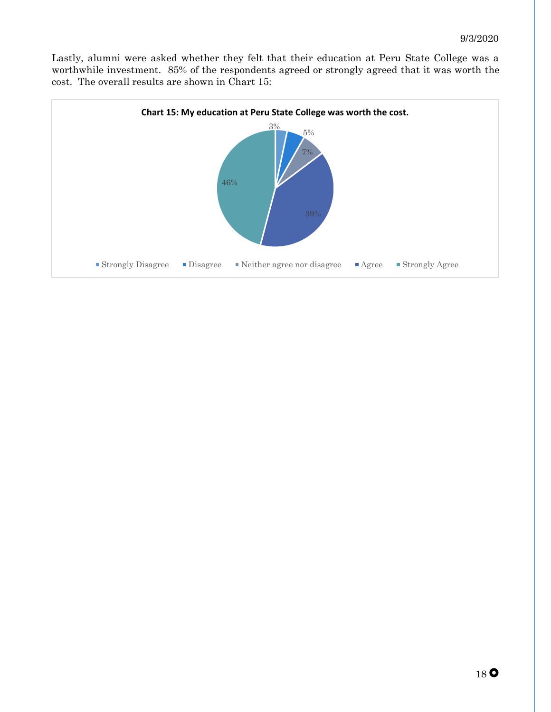Lastly, alumni were asked whether they felt that their education at Peru State College was a worthwhile investment. 85% of the respondents agreed or strongly agreed that it was worth the cost. The overall results are shown in Chart 15:

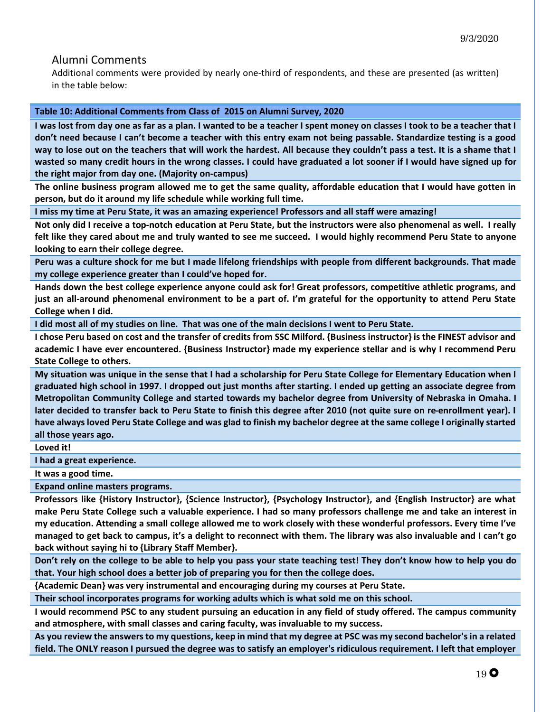#### <span id="page-19-0"></span>Alumni Comments

Additional comments were provided by nearly one-third of respondents, and these are presented (as written) in the table below:

#### **Table 10: Additional Comments from Class of 2015 on Alumni Survey, 2020**

**I was lost from day one as far as a plan. I wanted to be a teacher I spent money on classes I took to be a teacher that I don't need because I can't become a teacher with this entry exam not being passable. Standardize testing is a good way to lose out on the teachers that will work the hardest. All because they couldn't pass a test. It is a shame that I wasted so many credit hours in the wrong classes. I could have graduated a lot sooner if I would have signed up for the right major from day one. (Majority on-campus)**

**The online business program allowed me to get the same quality, affordable education that I would have gotten in person, but do it around my life schedule while working full time.**

**I miss my time at Peru State, it was an amazing experience! Professors and all staff were amazing!**

**Not only did I receive a top-notch education at Peru State, but the instructors were also phenomenal as well. I really felt like they cared about me and truly wanted to see me succeed. I would highly recommend Peru State to anyone looking to earn their college degree.**

**Peru was a culture shock for me but I made lifelong friendships with people from different backgrounds. That made my college experience greater than I could've hoped for.**

**Hands down the best college experience anyone could ask for! Great professors, competitive athletic programs, and just an all-around phenomenal environment to be a part of. I'm grateful for the opportunity to attend Peru State College when I did.**

**I did most all of my studies on line. That was one of the main decisions I went to Peru State.**

**I chose Peru based on cost and the transfer of credits from SSC Milford. {Business instructor} is the FINEST advisor and academic I have ever encountered. {Business Instructor} made my experience stellar and is why I recommend Peru State College to others.**

**My situation was unique in the sense that I had a scholarship for Peru State College for Elementary Education when I graduated high school in 1997. I dropped out just months after starting. I ended up getting an associate degree from Metropolitan Community College and started towards my bachelor degree from University of Nebraska in Omaha. I later decided to transfer back to Peru State to finish this degree after 2010 (not quite sure on re-enrollment year). I have always loved Peru State College and was glad to finish my bachelor degree at the same college I originally started all those years ago.**

**Loved it!**

**I had a great experience.**

**It was a good time.**

**Expand online masters programs.**

**Professors like {History Instructor}, {Science Instructor}, {Psychology Instructor}, and {English Instructor} are what make Peru State College such a valuable experience. I had so many professors challenge me and take an interest in my education. Attending a small college allowed me to work closely with these wonderful professors. Every time I've managed to get back to campus, it's a delight to reconnect with them. The library was also invaluable and I can't go back without saying hi to {Library Staff Member}.**

**Don't rely on the college to be able to help you pass your state teaching test! They don't know how to help you do that. Your high school does a better job of preparing you for then the college does.**

**{Academic Dean} was very instrumental and encouraging during my courses at Peru State.**

**Their school incorporates programs for working adults which is what sold me on this school.** 

**I would recommend PSC to any student pursuing an education in any field of study offered. The campus community and atmosphere, with small classes and caring faculty, was invaluable to my success.**

**As you review the answers to my questions, keep in mind that my degree at PSC was my second bachelor's in a related field. The ONLY reason I pursued the degree was to satisfy an employer's ridiculous requirement. I left that employer**